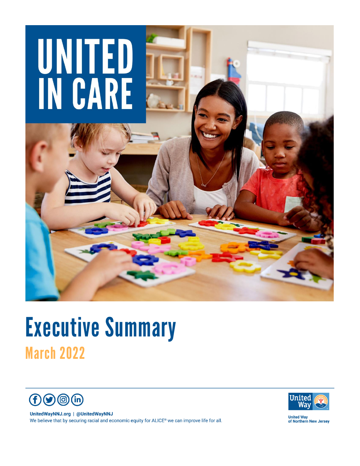

# Executive Summary March 2022



UnitedWayNNJ.org | @UnitedWayNNJ We believe that by securing racial and economic equity for ALICE® we can improve life for all.



**United Way<br>of Northern New Jersey**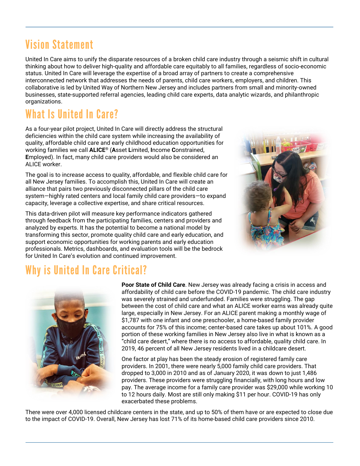# Vision Statement

United In Care aims to unify the disparate resources of a broken child care industry through a seismic shift in cultural thinking about how to deliver high-quality and affordable care equitably to all families, regardless of socio-economic status. United In Care will leverage the expertise of a broad array of partners to create a comprehensive interconnected network that addresses the needs of parents, child care workers, employers, and children. This collaborative is led by United Way of Northern New Jersey and includes partners from small and minority-owned businesses, state-supported referral agencies, leading child care experts, data analytic wizards, and philanthropic organizations.

# What Is United In Care?

As a four-year pilot project, United In Care will directly address the structural deficiencies within the child care system while increasing the availability of quality, affordable child care and early childhood education opportunities for working families we call **ALICE**® (**A**sset **L**imited, **I**ncome **C**onstrained, **E**mployed). In fact, many child care providers would also be considered an ALICE worker.

The goal is to increase access to quality, affordable, and flexible child care for all New Jersey families. To accomplish this, United In Care will create an alliance that pairs two previously disconnected pillars of the child care system—highly rated centers and local family child care providers—to expand capacity, leverage a collective expertise, and share critical resources.

This data-driven pilot will measure key performance indicators gathered through feedback from the participating families, centers and providers and analyzed by experts. It has the potential to become a national model by transforming this sector, promote quality child care and early education, and support economic opportunities for working parents and early education professionals. Metrics, dashboards, and evaluation tools will be the bedrock for United In Care's evolution and continued improvement.



# Why is United In Care Critical?



**Poor State of Child Care**. New Jersey was already facing a crisis in access and affordability of child care before the COVID-19 pandemic. The child care industry was severely strained and underfunded. Families were struggling. The gap between the cost of child care and what an ALICE worker earns was already quite large, especially in New Jersey. For an ALICE parent making a monthly wage of \$1,787 with one infant and one preschooler, a home-based family provider accounts for 75% of this income; center-based care takes up about 101%. A good portion of these working families in New Jersey also live in what is known as a "child care desert," where there is no access to affordable, quality child care. In 2019, 46 percent of all New Jersey residents lived in a childcare desert.

One factor at play has been the steady erosion of registered family care providers. In 2001, there were nearly 5,000 family child care providers. That dropped to 3,000 in 2010 and as of January 2020, it was down to just 1,486 providers. These providers were struggling financially, with long hours and low pay. The average income for a family care provider was \$29,000 while working 10 to 12 hours daily. Most are still only making \$11 per hour. COVID-19 has only exacerbated these problems.

There were over 4,000 licensed childcare centers in the state, and up to 50% of them have or are expected to close due to the impact of COVID-19. Overall, New Jersey has lost 71% of its home-based child care providers since 2010.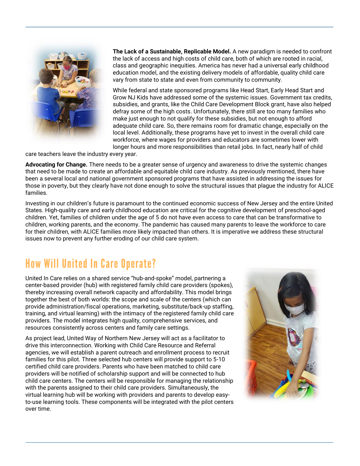

**The Lack of a Sustainable, Replicable Model.** A new paradigm is needed to confront the lack of access and high costs of child care, both of which are rooted in racial, class and geographic inequities. America has never had a universal early childhood education model, and the existing delivery models of affordable, quality child care vary from state to state and even from community to community.

While federal and state sponsored programs like Head Start, Early Head Start and Grow NJ Kids have addressed some of the systemic issues. Government tax credits, subsidies, and grants, like the Child Care Development Block grant, have also helped defray some of the high costs. Unfortunately, there still are too many families who make just enough to not qualify for these subsidies, but not enough to afford adequate child care. So, there remains room for dramatic change, especially on the local level. Additionally, these programs have yet to invest in the overall child care workforce, where wages for providers and educators are sometimes lower with longer hours and more responsibilities than retail jobs. In fact, nearly half of child

care teachers leave the industry every year.

**Advocating for Change.** There needs to be a greater sense of urgency and awareness to drive the systemic changes that need to be made to create an affordable and equitable child care industry. As previously mentioned, there have been a several local and national government sponsored programs that have assisted in addressing the issues for those in poverty, but they clearly have not done enough to solve the structural issues that plague the industry for ALICE families.

Investing in our children's future is paramount to the continued economic success of New Jersey and the entire United States. High-quality care and early childhood education are critical for the cognitive development of preschool-aged children. Yet, families of children under the age of 5 do not have even access to care that can be transformative to children, working parents, and the economy. The pandemic has caused many parents to leave the workforce to care for their children, with ALICE families more likely impacted than others. It is imperative we address these structural issues now to prevent any further eroding of our child care system.

#### How Will United In Care Operate?

United In Care relies on a shared service "hub-and-spoke" model, partnering a center-based provider (hub) with registered family child care providers (spokes), thereby increasing overall network capacity and affordability. This model brings together the best of both worlds: the scope and scale of the centers (which can provide administration/fiscal operations, marketing, substitute/back-up staffing, training, and virtual learning) with the intimacy of the registered family child care providers. The model integrates high quality, comprehensive services, and resources consistently across centers and family care settings.

As project lead, United Way of Northern New Jersey will act as a facilitator to drive this interconnection. Working with Child Care Resource and Referral agencies, we will establish a parent outreach and enrollment process to recruit families for this pilot. Three selected hub centers will provide support to 5-10 certified child care providers. Parents who have been matched to child care providers will be notified of scholarship support and will be connected to hub child care centers. The centers will be responsible for managing the relationship with the parents assigned to their child care providers. Simultaneously, the virtual learning hub will be working with providers and parents to develop easyto-use learning tools. These components will be integrated with the pilot centers over time.

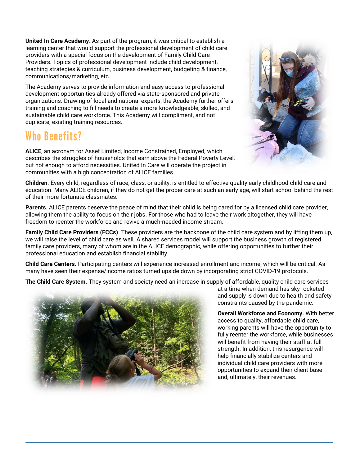**United In Care Academy**. As part of the program, it was critical to establish a learning center that would support the professional development of child care providers with a special focus on the development of Family Child Care Providers. Topics of professional development include child development, teaching strategies & curriculum, business development, budgeting & finance, communications/marketing, etc.

The Academy serves to provide information and easy access to professional development opportunities already offered via state-sponsored and private organizations. Drawing of local and national experts, the Academy further offers training and coaching to fill needs to create a more knowledgeable, skilled, and sustainable child care workforce. This Academy will compliment, and not duplicate, existing training resources.

# Who Benefits?

**ALICE**, an acronym for Asset Limited, Income Constrained, Employed, which describes the struggles of households that earn above the Federal Poverty Level, but not enough to afford necessities. United In Care will operate the project in communities with a high concentration of ALICE families.



**Children**. Every child, regardless of race, class, or ability, is entitled to effective quality early childhood child care and education. Many ALICE children, if they do not get the proper care at such an early age, will start school behind the rest of their more fortunate classmates.

**Parents**. ALICE parents deserve the peace of mind that their child is being cared for by a licensed child care provider, allowing them the ability to focus on their jobs. For those who had to leave their work altogether, they will have freedom to reenter the workforce and revive a much-needed income stream.

**Family Child Care Providers (FCCs)**. These providers are the backbone of the child care system and by lifting them up, we will raise the level of child care as well. A shared services model will support the business growth of registered family care providers, many of whom are in the ALICE demographic, while offering opportunities to further their professional education and establish financial stability.

**Child Care Centers.** Participating centers will experience increased enrollment and income, which will be critical. As many have seen their expense/income ratios turned upside down by incorporating strict COVID-19 protocols.

**The Child Care System.** They system and society need an increase in supply of affordable, quality child care services



at a time when demand has sky rocketed and supply is down due to health and safety constraints caused by the pandemic.

**Overall Workforce and Economy.** With better access to quality, affordable child care, working parents will have the opportunity to fully reenter the workforce, while businesses will benefit from having their staff at full strength. In addition, this resurgence will help financially stabilize centers and individual child care providers with more opportunities to expand their client base and, ultimately, their revenues.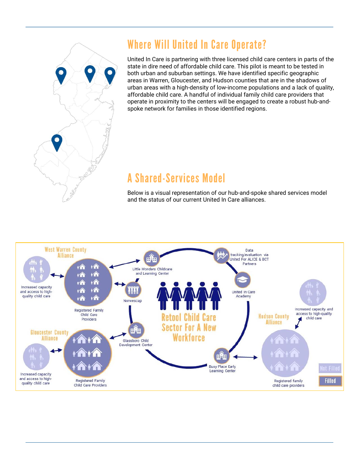

### Where Will United In Care Operate?

United In Care is partnering with three licensed child care centers in parts of the state in dire need of affordable child care. This pilot is meant to be tested in both urban and suburban settings. We have identified specific geographic areas in Warren, Gloucester, and Hudson counties that are in the shadows of urban areas with a high-density of low-income populations and a lack of quality, affordable child care. A handful of individual family child care providers that operate in proximity to the centers will be engaged to create a robust hub-andspoke network for families in those identified regions.

#### A Shared-Services Model

Below is a visual representation of our hub-and-spoke shared services model and the status of our current United In Care alliances.

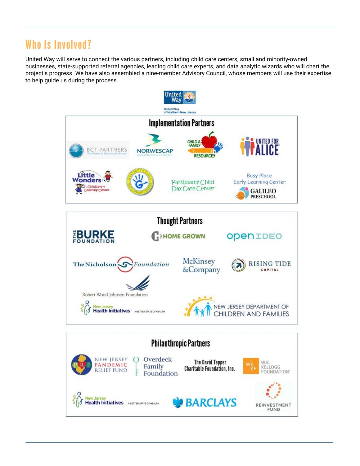### Who Is Involved?

United Way will serve to connect the various partners, including child care centers, small and minority-owned businesses, state-supported referral agencies, leading child care experts, and data analytic wizards who will chart the project's progress. We have also assembled a nine-member Advisory Council, whose members will use their expertise to help guide us during the process.



Foundation

**Health Initiatives** ABETTER STATE OF HEALTH

**BARCLAYS** 

OUNDATION'

REINVESTMENT **FUND**